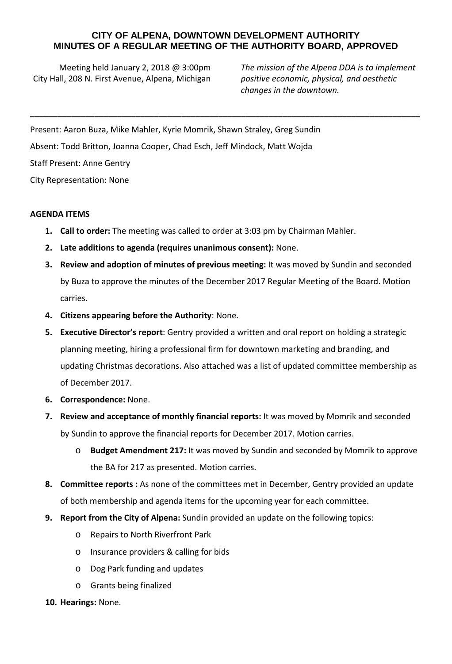## **CITY OF ALPENA, DOWNTOWN DEVELOPMENT AUTHORITY MINUTES OF A REGULAR MEETING OF THE AUTHORITY BOARD, APPROVED**

**\_\_\_\_\_\_\_\_\_\_\_\_\_\_\_\_\_\_\_\_\_\_\_\_\_\_\_\_\_\_\_\_\_\_\_\_\_\_\_\_\_\_\_\_\_\_\_\_\_\_\_\_\_\_\_\_\_\_\_\_\_\_\_\_\_\_\_\_\_\_\_\_\_\_\_\_\_\_\_\_\_\_\_\_\_**

Meeting held January 2, 2018 @ 3:00pm City Hall, 208 N. First Avenue, Alpena, Michigan

*The mission of the Alpena DDA is to implement positive economic, physical, and aesthetic changes in the downtown.*

Present: Aaron Buza, Mike Mahler, Kyrie Momrik, Shawn Straley, Greg Sundin Absent: Todd Britton, Joanna Cooper, Chad Esch, Jeff Mindock, Matt Wojda

Staff Present: Anne Gentry

City Representation: None

## **AGENDA ITEMS**

- **1. Call to order:** The meeting was called to order at 3:03 pm by Chairman Mahler.
- **2. Late additions to agenda (requires unanimous consent):** None.
- **3. Review and adoption of minutes of previous meeting:** It was moved by Sundin and seconded by Buza to approve the minutes of the December 2017 Regular Meeting of the Board. Motion carries.
- **4. Citizens appearing before the Authority**: None.
- **5. Executive Director's report**: Gentry provided a written and oral report on holding a strategic planning meeting, hiring a professional firm for downtown marketing and branding, and updating Christmas decorations. Also attached was a list of updated committee membership as of December 2017.
- **6. Correspondence:** None.
- **7. Review and acceptance of monthly financial reports:** It was moved by Momrik and seconded by Sundin to approve the financial reports for December 2017. Motion carries.
	- o **Budget Amendment 217:** It was moved by Sundin and seconded by Momrik to approve the BA for 217 as presented. Motion carries.
- **8. Committee reports :** As none of the committees met in December, Gentry provided an update of both membership and agenda items for the upcoming year for each committee.
- **9. Report from the City of Alpena:** Sundin provided an update on the following topics:
	- o Repairs to North Riverfront Park
	- o Insurance providers & calling for bids
	- o Dog Park funding and updates
	- o Grants being finalized
- **10. Hearings:** None.